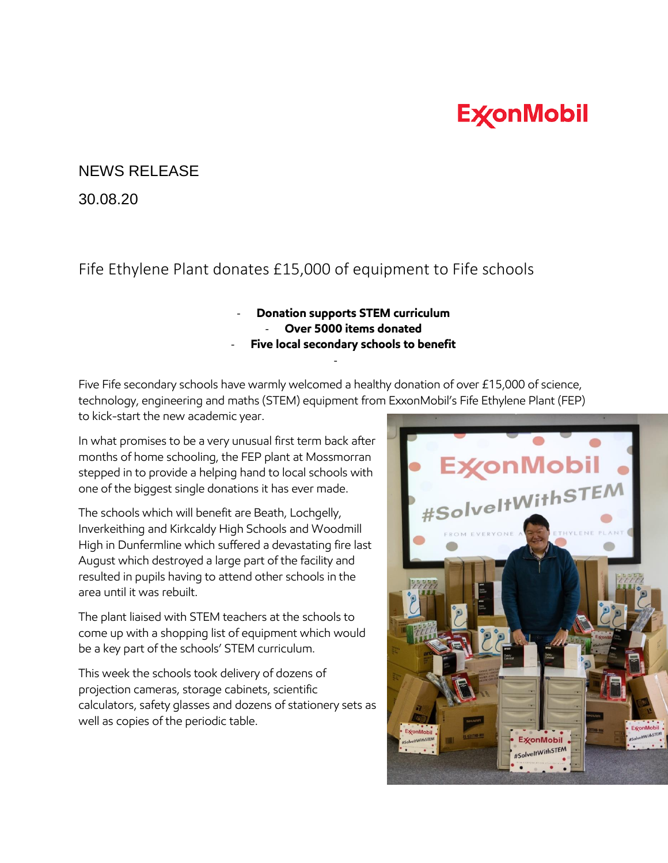## **ExconMobil**

## NEWS RELEASE

30.08.20

## Fife Ethylene Plant donates £15,000 of equipment to Fife schools

## - **Donation supports STEM curriculum**

- **Over 5000 items donated**
- **Five local secondary schools to benefit**

Five Fife secondary schools have warmly welcomed a healthy donation of over £15,000 of science, technology, engineering and maths (STEM) equipment from ExxonMobil's Fife Ethylene Plant (FEP) to kick-start the new academic year.

-

In what promises to be a very unusual first term back after months of home schooling, the FEP plant at Mossmorran stepped in to provide a helping hand to local schools with one of the biggest single donations it has ever made.

The schools which will benefit are Beath, Lochgelly, Inverkeithing and Kirkcaldy High Schools and Woodmill High in Dunfermline which suffered a devastating fire last August which destroyed a large part of the facility and resulted in pupils having to attend other schools in the area until it was rebuilt.

The plant liaised with STEM teachers at the schools to come up with a shopping list of equipment which would be a key part of the schools' STEM curriculum.

This week the schools took delivery of dozens of projection cameras, storage cabinets, scientific calculators, safety glasses and dozens of stationery sets as well as copies of the periodic table.